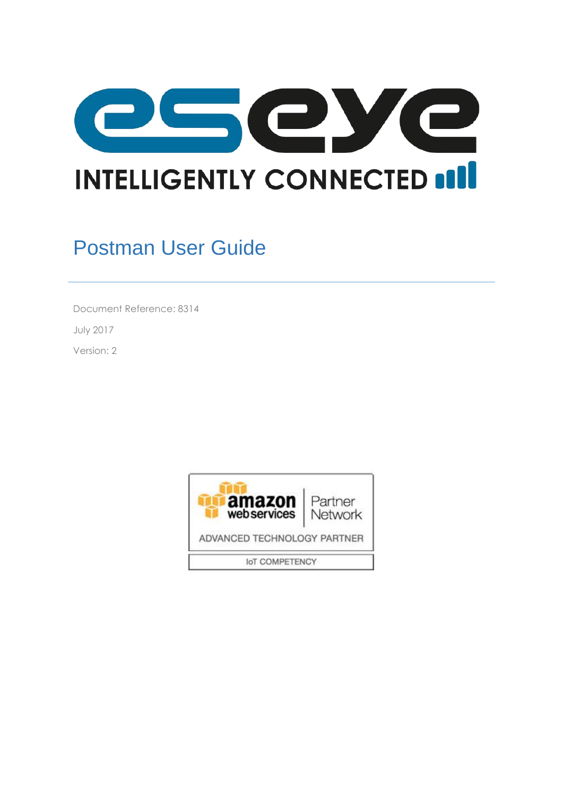

# Postman User Guide

Document Reference: 8314

July 2017

Version: 2

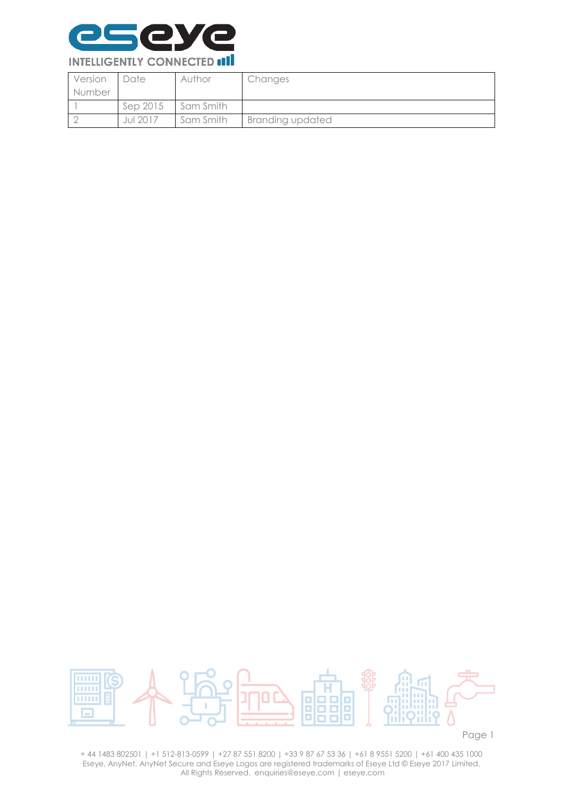

| Version | <b>Date</b>     | Author    | Changes                 |
|---------|-----------------|-----------|-------------------------|
| Number  |                 |           |                         |
|         | Sep 2015        | Sam Smith |                         |
|         | <b>Jul 2017</b> | Sam Smith | <b>Branding updated</b> |



Page 1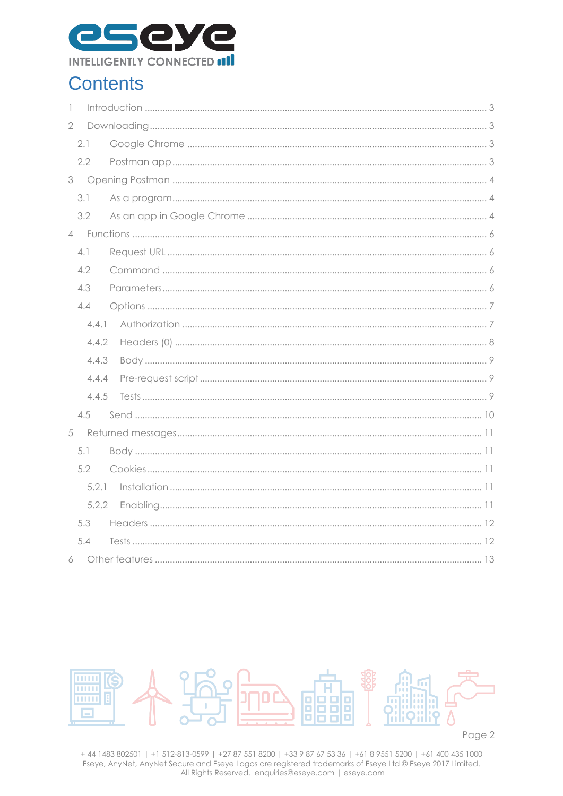

## **Contents**

| $\overline{\phantom{a}}$ |       |  |
|--------------------------|-------|--|
| $\overline{2}$           |       |  |
|                          | 2.1   |  |
|                          | 2.2   |  |
| $3 -$                    |       |  |
|                          | 3.1   |  |
|                          | 3.2   |  |
|                          |       |  |
|                          | 4.1   |  |
|                          | 4.2   |  |
|                          | 4.3   |  |
|                          | 4.4   |  |
|                          | 4.4.1 |  |
|                          | 4.4.2 |  |
|                          | 4.4.3 |  |
|                          | 4.4.4 |  |
|                          | 4.4.5 |  |
|                          | 4.5   |  |
| 5                        |       |  |
|                          | 5.1   |  |
|                          | 5.2   |  |
|                          | 5.2.1 |  |
|                          | 5.2.2 |  |
|                          | 5.3   |  |
|                          | 5.4   |  |
|                          | 6     |  |

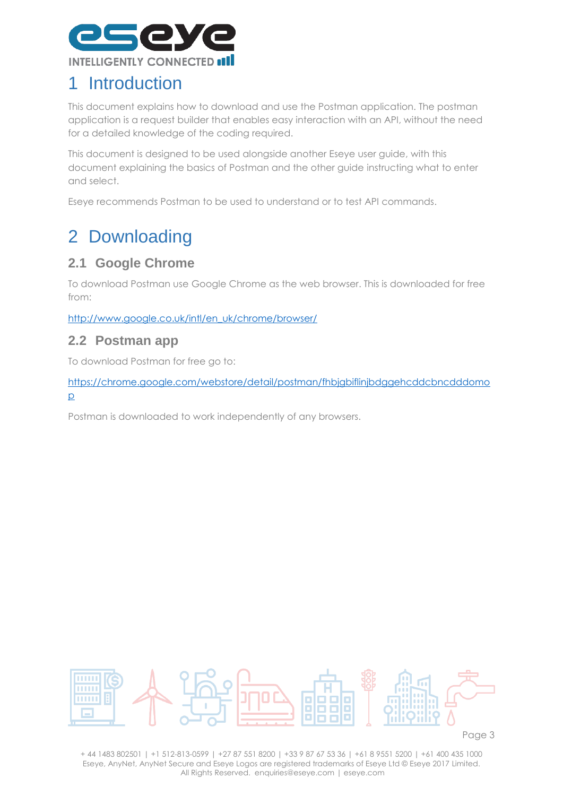

## <span id="page-3-0"></span>1 Introduction

This document explains how to download and use the Postman application. The postman application is a request builder that enables easy interaction with an API, without the need for a detailed knowledge of the coding required.

This document is designed to be used alongside another Eseye user guide, with this document explaining the basics of Postman and the other guide instructing what to enter and select.

Eseye recommends Postman to be used to understand or to test API commands.

# <span id="page-3-1"></span>2 Downloading

#### <span id="page-3-2"></span>**2.1 Google Chrome**

To download Postman use Google Chrome as the web browser. This is downloaded for free from:

[http://www.google.co.uk/intl/en\\_uk/chrome/browser/](http://www.google.co.uk/intl/en_uk/chrome/browser/)

#### <span id="page-3-3"></span>**2.2 Postman app**

To download Postman for free go to:

[https://chrome.google.com/webstore/detail/postman/fhbjgbiflinjbdggehcddcbncdddomo](https://chrome.google.com/webstore/detail/postman/fhbjgbiflinjbdggehcddcbncdddomop) [p](https://chrome.google.com/webstore/detail/postman/fhbjgbiflinjbdggehcddcbncdddomop)

Postman is downloaded to work independently of any browsers.



Page 3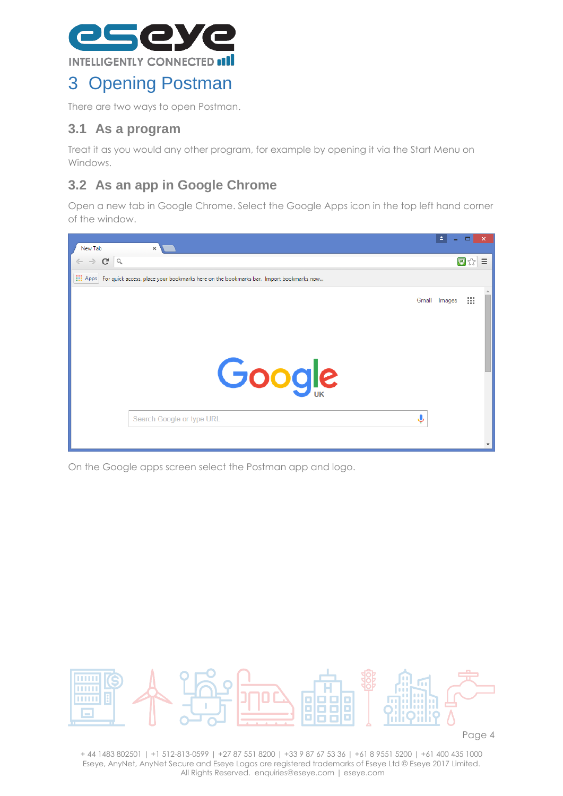

## <span id="page-4-0"></span>3 Opening Postman

There are two ways to open Postman.

#### <span id="page-4-1"></span>**3.1 As a program**

Treat it as you would any other program, for example by opening it via the Start Menu on Windows.

#### <span id="page-4-2"></span>**3.2 As an app in Google Chrome**

Open a new tab in Google Chrome. Select the Google Apps icon in the top left hand corner of the window.



On the Google apps screen select the Postman app and logo.

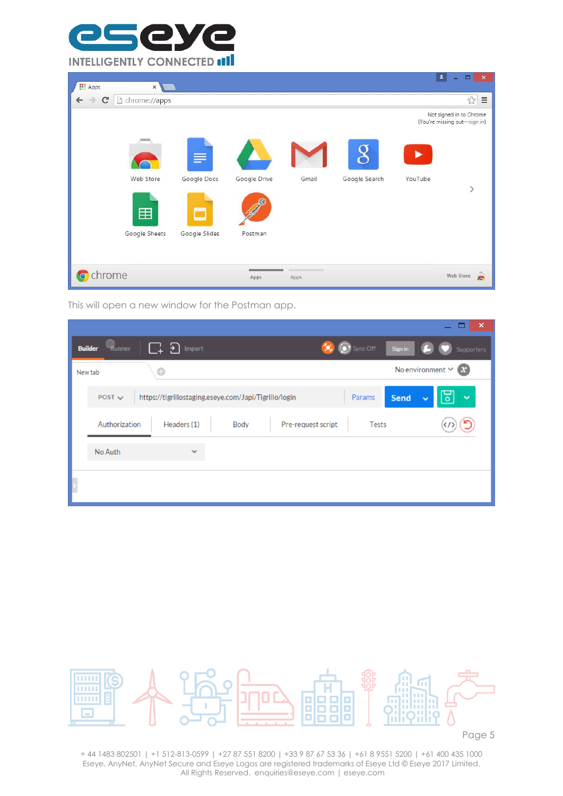

| <b>III</b> Apps                               | $\boldsymbol{\times}$ |               |              |                |               |         | $\Delta$<br>$\Box$<br>$\mathbf{x}$                      |
|-----------------------------------------------|-----------------------|---------------|--------------|----------------|---------------|---------|---------------------------------------------------------|
| $\mathbf{C}$<br>$\rightarrow$<br>$\leftarrow$ | hrome://apps          |               |              |                |               |         | $\lesssim$<br>$\equiv$                                  |
|                                               |                       |               |              |                |               |         | Not signed in to Chrome<br>(You're missing out-sign in) |
|                                               |                       | S             |              |                |               |         |                                                         |
|                                               | Web Store             | Google Docs   | Google Drive | Gmail          | Google Search | YouTube |                                                         |
|                                               | 田                     |               |              |                |               |         | $\left\langle \right\rangle$                            |
|                                               | Google Sheets         | Google Slides | Postman      |                |               |         |                                                         |
| chrome                                        |                       |               | Apps         | $\sim$<br>Apps |               |         | Web Store<br>e                                          |

This will open a new window for the Postman app.

|                |               |                    |                                                       |                    |              |             |                                   | ×            |
|----------------|---------------|--------------------|-------------------------------------------------------|--------------------|--------------|-------------|-----------------------------------|--------------|
| <b>Builder</b> | Runner        | $\Box$ त<br>Import |                                                       |                    | Sync Off     | Sign in     |                                   | Supporters   |
|                | New tab       | $\odot$            |                                                       |                    |              |             | No environment $\times$ <b>ex</b> |              |
|                | POST $\sim$   |                    | https://tigrillostaging.eseye.com/Japi/Tigrillo/login |                    | Params       | <b>Send</b> | ᄝ<br>$\checkmark$                 | $\checkmark$ |
|                | Authorization | Headers (1)        | Body                                                  | Pre-request script | <b>Tests</b> |             |                                   |              |
|                | No Auth       | $\checkmark$       |                                                       |                    |              |             |                                   |              |
|                |               |                    |                                                       |                    |              |             |                                   |              |



Page 5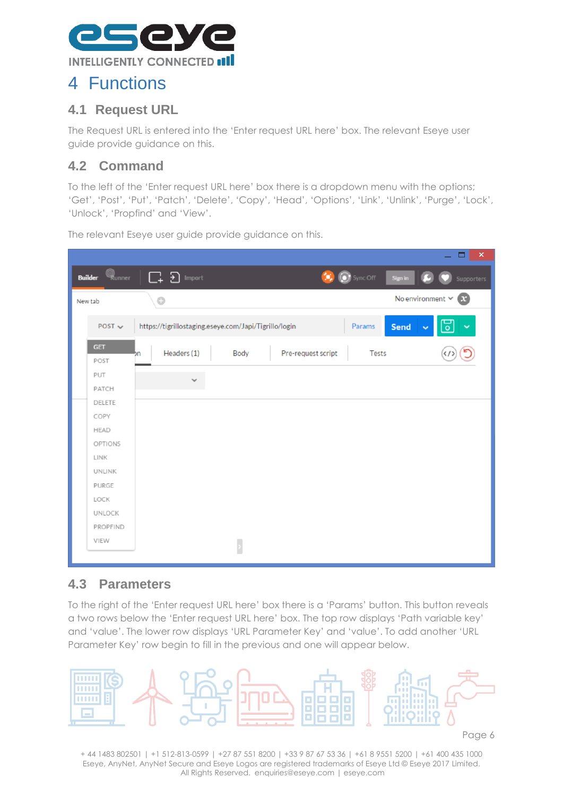

### <span id="page-6-0"></span>4 Functions

#### <span id="page-6-1"></span>**4.1 Request URL**

The Request URL is entered into the 'Enter request URL here' box. The relevant Eseye user guide provide guidance on this.

### <span id="page-6-2"></span>**4.2 Command**

To the left of the 'Enter request URL here' box there is a dropdown menu with the options; 'Get', 'Post', 'Put', 'Patch', 'Delete', 'Copy', 'Head', 'Options', 'Link', 'Unlink', 'Purge', 'Lock', 'Unlock', 'Propfind' and 'View'.

|                    |        |                                                       |      |                    |                             | $\boldsymbol{\times}$<br>▭         |
|--------------------|--------|-------------------------------------------------------|------|--------------------|-----------------------------|------------------------------------|
| <b>Builder</b>     | Runner | <u>្រា</u><br>Import                                  |      |                    | $\odot$ Sync Off<br>Sign in | Supporters                         |
| New tab            |        | $\bigcirc$                                            |      |                    |                             | No environment $\vee$<br>$\bullet$ |
| POST $\vee$        |        | https://tigrillostaging.eseye.com/Japi/Tigrillo/login |      |                    | Send<br>Params              | ᄝ<br>×,<br>$\checkmark$            |
| <b>GET</b><br>POST | bn     | Headers (1)                                           | Body | Pre-request script | Tests                       |                                    |
| PUT<br>PATCH       |        | $\checkmark$                                          |      |                    |                             |                                    |
| DELETE             |        |                                                       |      |                    |                             |                                    |
| COPY               |        |                                                       |      |                    |                             |                                    |
| HEAD<br>OPTIONS    |        |                                                       |      |                    |                             |                                    |
| LINK               |        |                                                       |      |                    |                             |                                    |
| <b>UNLINK</b>      |        |                                                       |      |                    |                             |                                    |
| <b>PURGE</b>       |        |                                                       |      |                    |                             |                                    |
| LOCK               |        |                                                       |      |                    |                             |                                    |
| <b>UNLOCK</b>      |        |                                                       |      |                    |                             |                                    |
| PROPFIND           |        |                                                       |      |                    |                             |                                    |
| VIEW               |        |                                                       |      |                    |                             |                                    |
|                    |        |                                                       |      |                    |                             |                                    |

The relevant Eseye user guide provide guidance on this.

#### <span id="page-6-3"></span>**4.3 Parameters**

To the right of the 'Enter request URL here' box there is a 'Params' button. This button reveals a two rows below the 'Enter request URL here' box. The top row displays 'Path variable key' and 'value'. The lower row displays 'URL Parameter Key' and 'value'. To add another 'URL Parameter Key' row begin to fill in the previous and one will appear below.

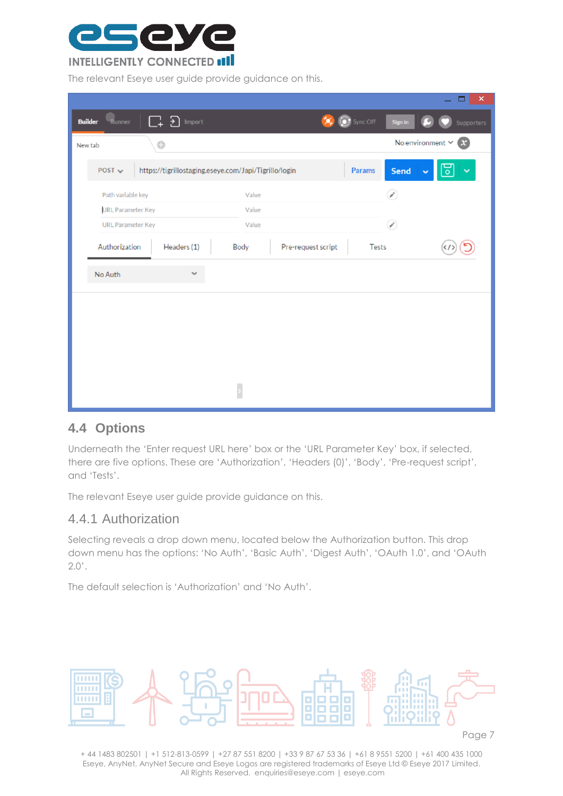

The relevant Eseye user guide provide guidance on this.

|                                |         |                                                       |       |                    |                  |         | ×<br>▭                                    |
|--------------------------------|---------|-------------------------------------------------------|-------|--------------------|------------------|---------|-------------------------------------------|
| en<br>Runner<br><b>Builder</b> | 다 Ð     | Import                                                |       |                    | $\odot$ Sync Off | Sign in | Supporters                                |
| New tab                        | $\odot$ |                                                       |       |                    |                  |         | No environment $\vee$<br>$\mathbf \Omega$ |
| POST $\sim$                    |         | https://tigrillostaging.eseye.com/Japi/Tigrillo/login |       |                    | Params           | Send    | ᄝ<br>Ÿ<br>$\checkmark$                    |
| Path variable key              |         |                                                       | Value |                    |                  | P,      |                                           |
| <b>URL Parameter Key</b>       |         |                                                       | Value |                    |                  |         |                                           |
| <b>URL Parameter Key</b>       |         |                                                       | Value |                    |                  | Ø       |                                           |
| Authorization                  |         | Headers (1)                                           | Body  | Pre-request script | Tests            |         |                                           |
| No Auth                        |         | $\checkmark$                                          |       |                    |                  |         |                                           |
|                                |         |                                                       |       |                    |                  |         |                                           |
|                                |         |                                                       |       |                    |                  |         |                                           |
|                                |         |                                                       |       |                    |                  |         |                                           |
|                                |         |                                                       |       |                    |                  |         |                                           |
|                                |         |                                                       |       |                    |                  |         |                                           |
|                                |         |                                                       |       |                    |                  |         |                                           |

#### <span id="page-7-0"></span>**4.4 Options**

Underneath the 'Enter request URL here' box or the 'URL Parameter Key' box, if selected, there are five options. These are 'Authorization', 'Headers (0)', 'Body', 'Pre-request script', and 'Tests'.

The relevant Eseye user guide provide guidance on this.

#### <span id="page-7-1"></span>4.4.1 Authorization

Selecting reveals a drop down menu, located below the Authorization button. This drop down menu has the options: 'No Auth', 'Basic Auth', 'Digest Auth', 'OAuth 1.0', and 'OAuth  $2.0'$ .

The default selection is 'Authorization' and 'No Auth'.



Page 7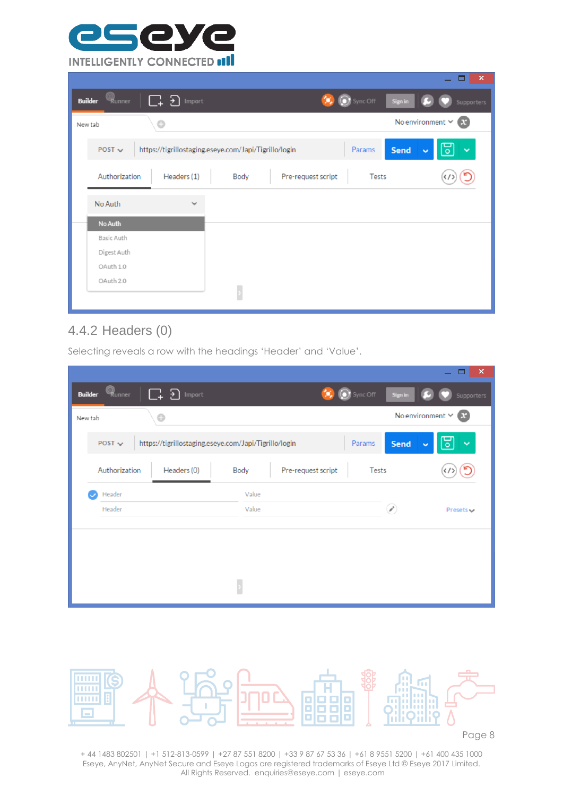

|                          |                                                       |      |                    |                     | $\pmb{\times}$                        |
|--------------------------|-------------------------------------------------------|------|--------------------|---------------------|---------------------------------------|
| Runner<br><b>Builder</b> | 口 5<br>Import                                         |      |                    | Sync Off<br>Sign in | Supporters                            |
| New tab                  | $\odot$                                               |      |                    |                     | No environment $\vee$<br>$\mathbf{C}$ |
| POST $\sim$              | https://tigrillostaging.eseye.com/Japi/Tigrillo/login |      |                    | Params<br>Send      | ರ<br>$\checkmark$<br>$\checkmark$     |
| Authorization            | Headers (1)                                           | Body | Pre-request script | <b>Tests</b>        |                                       |
| No Auth                  | $\checkmark$                                          |      |                    |                     |                                       |
| No Auth                  |                                                       |      |                    |                     |                                       |
| Basic Auth               |                                                       |      |                    |                     |                                       |
| Digest Auth              |                                                       |      |                    |                     |                                       |
| OAuth 1.0                |                                                       |      |                    |                     |                                       |
| OAuth 2.0                |                                                       |      |                    |                     |                                       |
|                          |                                                       |      |                    |                     |                                       |

### <span id="page-8-0"></span>4.4.2 Headers (0)

Selecting reveals a row with the headings 'Header' and 'Value'.

|                |                             |                                                       |       |                    |                   |                       | $\boldsymbol{\mathsf{x}}$               |
|----------------|-----------------------------|-------------------------------------------------------|-------|--------------------|-------------------|-----------------------|-----------------------------------------|
| <b>Builder</b> | $\mathbb{Q}_{\text{unner}}$ | 다 Ð<br>Import                                         |       |                    | <b>O</b> Sync Off | Sign in               | Supporters                              |
| New tab        |                             | $\odot$                                               |       |                    |                   | No environment $\vee$ | $\mathbf \Omega$                        |
|                | POST $\sim$                 | https://tigrillostaging.eseye.com/Japi/Tigrillo/login |       |                    | Params            | Send<br>$\checkmark$  | $\overline{\mathsf{o}}$<br>$\checkmark$ |
|                | Authorization               | Headers (0)                                           | Body  | Pre-request script | Tests             |                       |                                         |
|                | Header                      |                                                       | Value |                    |                   |                       |                                         |
|                | Header                      |                                                       | Value |                    |                   | B                     | Presets $\checkmark$                    |
|                |                             |                                                       |       |                    |                   |                       |                                         |
|                |                             |                                                       |       |                    |                   |                       |                                         |
|                |                             |                                                       |       |                    |                   |                       |                                         |
|                |                             |                                                       |       |                    |                   |                       |                                         |
|                |                             |                                                       |       |                    |                   |                       |                                         |

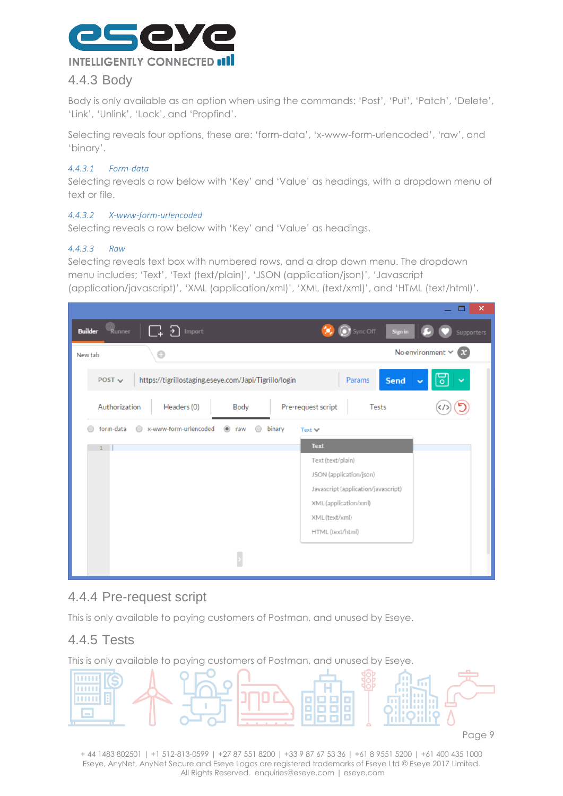

#### <span id="page-9-0"></span>4.4.3 Body

Body is only available as an option when using the commands: 'Post', 'Put', 'Patch', 'Delete', 'Link', 'Unlink', 'Lock', and 'Propfind'.

Selecting reveals four options, these are: 'form-data', 'x-www-form-urlencoded', 'raw', and 'binary'.

#### *4.4.3.1 Form-data*

Selecting reveals a row below with 'Key' and 'Value' as headings, with a dropdown menu of text or file.

#### *4.4.3.2 X-www-form-urlencoded*

Selecting reveals a row below with 'Key' and 'Value' as headings.

#### *4.4.3.3 Raw*

Selecting reveals text box with numbered rows, and a drop down menu. The dropdown menu includes; 'Text', 'Text (text/plain)', 'JSON (application/json)', 'Javascript (application/javascript)', 'XML (application/xml)', 'XML (text/xml)', and 'HTML (text/html)'.

|                                |                                                       |                       |                             |                                     | ∼                                     |
|--------------------------------|-------------------------------------------------------|-----------------------|-----------------------------|-------------------------------------|---------------------------------------|
| මු<br>Runner<br><b>Builder</b> | Import                                                |                       |                             | $\sum$ Sync Off<br>Sign in          | Supporters                            |
| New tab                        | $\odot$                                               |                       |                             |                                     | No environment $\vee$<br>$\mathbf{r}$ |
| POST $\sim$                    | https://tigrillostaging.eseye.com/Japi/Tigrillo/login |                       |                             | Params<br><b>Send</b>               |                                       |
| Authorization                  | Headers (0)                                           | Body                  | Pre-request script          | Tests                               |                                       |
| form-data                      | x-www-form-urlencoded<br>$\bigcirc$                   | $\circledcirc$<br>raw | binary<br>Text $\mathbf{v}$ |                                     |                                       |
|                                |                                                       |                       | <b>Text</b>                 |                                     |                                       |
|                                |                                                       |                       | Text (text/plain)           |                                     |                                       |
|                                |                                                       |                       |                             | JSON (application/json)             |                                       |
|                                |                                                       |                       |                             | Javascript (application/javascript) |                                       |
|                                |                                                       |                       |                             | XML (application/xml)               |                                       |
|                                |                                                       |                       |                             |                                     |                                       |
|                                |                                                       |                       | XML (text/xml)              |                                     |                                       |
|                                |                                                       |                       | HTML (text/html)            |                                     |                                       |
|                                |                                                       |                       |                             |                                     |                                       |

#### <span id="page-9-1"></span>4.4.4 Pre-request script

This is only available to paying customers of Postman, and unused by Eseye.

#### <span id="page-9-2"></span>4.4.5 Tests

This is only available to paying customers of Postman, and unused by Eseye.

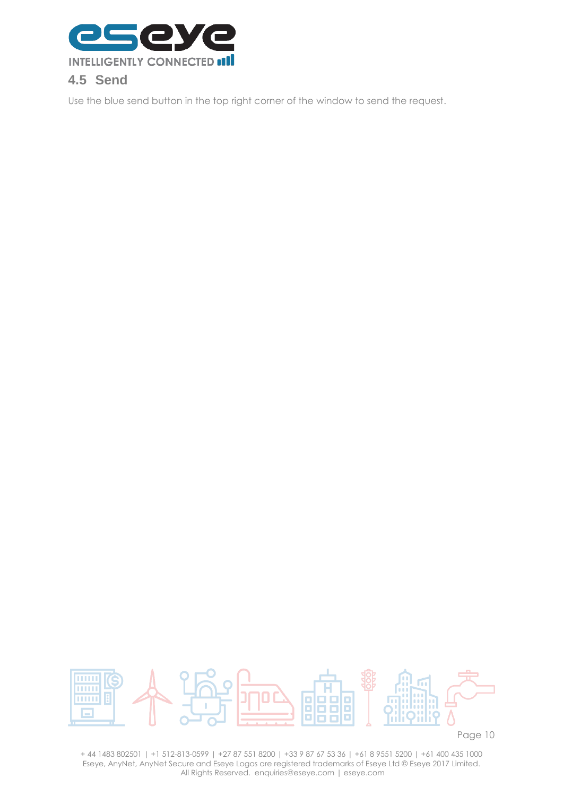

<span id="page-10-0"></span>Use the blue send button in the top right corner of the window to send the request.



Page 10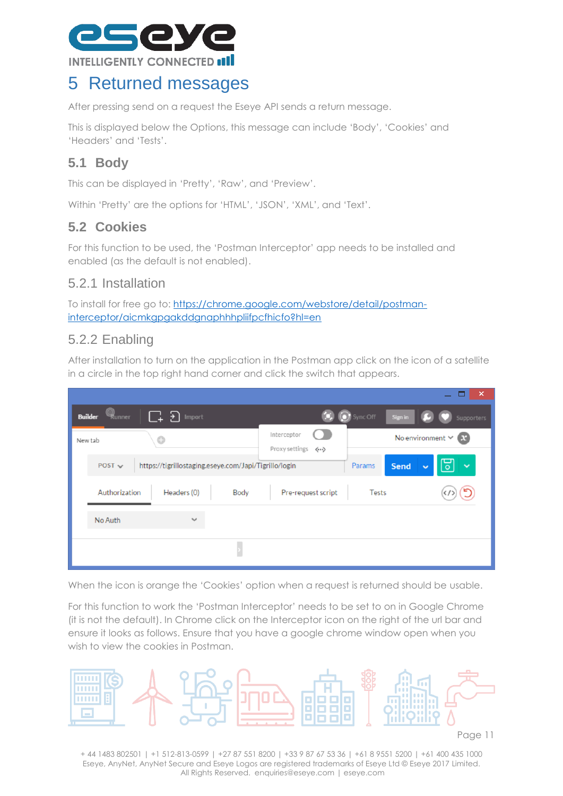

### <span id="page-11-0"></span>5 Returned messages

After pressing send on a request the Eseye API sends a return message.

This is displayed below the Options, this message can include 'Body', 'Cookies' and 'Headers' and 'Tests'.

### <span id="page-11-1"></span>**5.1 Body**

This can be displayed in 'Pretty', 'Raw', and 'Preview'.

Within 'Pretty' are the options for 'HTML', 'JSON', 'XML', and 'Text'.

#### <span id="page-11-2"></span>**5.2 Cookies**

For this function to be used, the 'Postman Interceptor' app needs to be installed and enabled (as the default is not enabled).

#### <span id="page-11-3"></span>5.2.1 Installation

To install for free go to: [https://chrome.google.com/webstore/detail/postman](https://chrome.google.com/webstore/detail/postman-interceptor/aicmkgpgakddgnaphhhpliifpcfhicfo?hl=en)[interceptor/aicmkgpgakddgnaphhhpliifpcfhicfo?hl=en](https://chrome.google.com/webstore/detail/postman-interceptor/aicmkgpgakddgnaphhhpliifpcfhicfo?hl=en)

#### <span id="page-11-4"></span>5.2.2 Enabling

After installation to turn on the application in the Postman app click on the icon of a satellite in a circle in the top right hand corner and click the switch that appears.

|                                                                      | $\boldsymbol{\mathsf{x}}$<br>-                                                                 |
|----------------------------------------------------------------------|------------------------------------------------------------------------------------------------|
| Runner<br>C+ E<br>Import<br><b>Builder</b>                           | Sync Off<br>Sign in<br>Supporters                                                              |
| $\odot$<br>New tab                                                   | Interceptor<br>No environment $\times$ $\mathbb{R}$                                            |
| https://tigrillostaging.eseye.com/Japi/Tigrillo/login<br>$POST \sim$ | Proxy settings <><br><b>Send</b><br>Params<br>$\ddotmark$<br>$\overline{\circ}$<br>$\ddotmark$ |
| Authorization<br>Headers (0)<br>Body                                 | Pre-request script<br><b>Tests</b>                                                             |
| No Auth<br>$\checkmark$                                              |                                                                                                |
|                                                                      |                                                                                                |

When the icon is orange the 'Cookies' option when a request is returned should be usable.

For this function to work the 'Postman Interceptor' needs to be set to on in Google Chrome (it is not the default). In Chrome click on the Interceptor icon on the right of the url bar and ensure it looks as follows. Ensure that you have a google chrome window open when you wish to view the cookies in Postman.

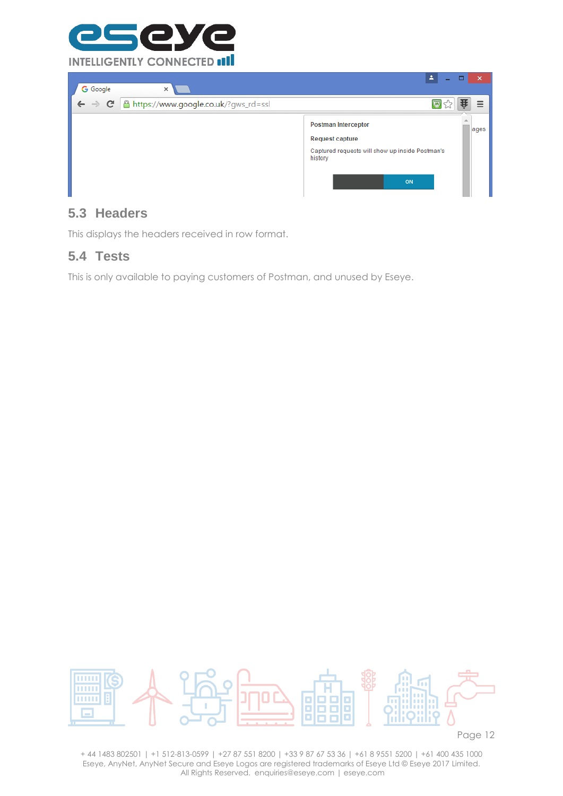



#### <span id="page-12-0"></span>**5.3 Headers**

This displays the headers received in row format.

#### <span id="page-12-1"></span>**5.4 Tests**

This is only available to paying customers of Postman, and unused by Eseye.



Page 12